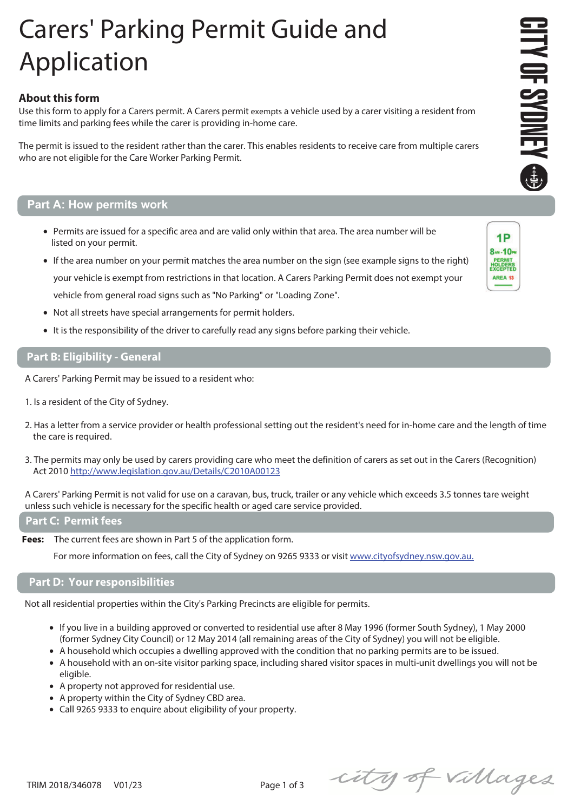## Carers' Parking Permit Guide and Application

## **About this form**

Use this form to apply for a Carers permit. A Carers permit exempts a vehicle used by a carer visiting a resident from time limits and parking fees while the carer is providing in-home care.

The permit is issued to the resident rather than the carer. This enables residents to receive care from multiple carers who are not eligible for the Care Worker Parking Permit.

### **Part A: How permits work**

- Permits are issued for a specific area and are valid only within that area. The area number will be listed on your permit.
- If the area number on your permit matches the area number on the sign (see example signs to the right) your vehicle is exempt from restrictions in that location. A Carers Parking Permit does not exempt your vehicle from general road signs such as "No Parking" or "Loading Zone".
- Not all streets have special arrangements for permit holders.
- It is the responsibility of the driver to carefully read any signs before parking their vehicle.

#### **Part B: Eligibility - General**

- A Carers' Parking Permit may be issued to a resident who:
- 1. Is a resident of the City of Sydney.
- 2. Has a letter from a service provider or health professional setting out the resident's need for in-home care and the length of time the care is required.
- 3. The permits may only be used by carers providing care who meet the definition of carers as set out in the Carers (Recognition) Act 2010 http://www.legislation.gov.au/Details/C2010A00123

A Carers' Parking Permit is not valid for use on a caravan, bus, truck, trailer or any vehicle which exceeds 3.5 tonnes tare weight unless such vehicle is necessary for the specific health or aged care service provided.

#### **Part C: Permit fees**

**Fees:** The current fees are shown in Part 5 of the application form.

For more information on fees, call the City of Sydney on 9265 9333 or visit www.cityofsydney.nsw.gov.au.

#### **Part D: Your responsibilities**

Not all residential properties within the City's Parking Precincts are eligible for permits.

- If you live in a building approved or converted to residential use after 8 May 1996 (former South Sydney), 1 May 2000 (former Sydney City Council) or 12 May 2014 (all remaining areas of the City of Sydney) you will not be eligible.
- A household which occupies a dwelling approved with the condition that no parking permits are to be issued.
- A household with an on-site visitor parking space, including shared visitor spaces in multi-unit dwellings you will not be eligible.
- A property not approved for residential use.
- A property within the City of Sydney CBD area.
- Call 9265 9333 to enquire about eligibility of your property.

city of villages



 $1P$ 8m-10m **HOLDERS** AREA 13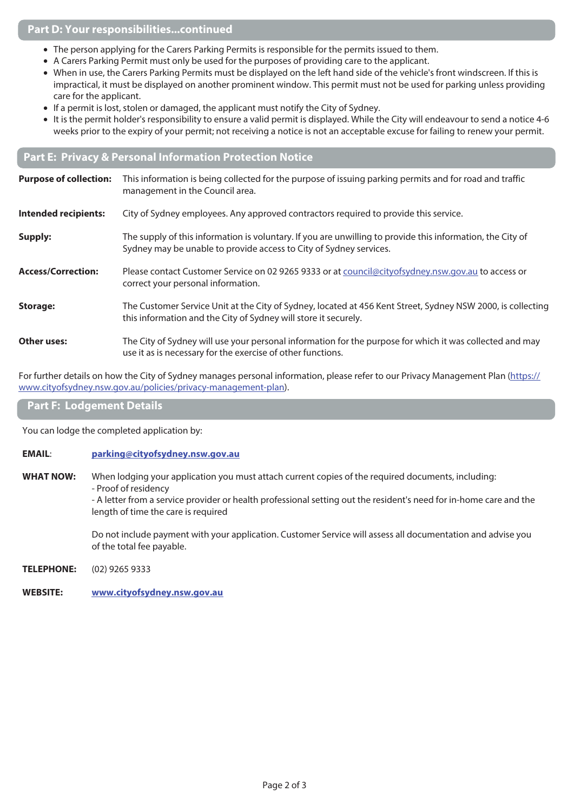### **Part D: Your responsibilities...continued**

- The person applying for the Carers Parking Permits is responsible for the permits issued to them.
- A Carers Parking Permit must only be used for the purposes of providing care to the applicant.
- When in use, the Carers Parking Permits must be displayed on the left hand side of the vehicle's front windscreen. If this is impractical, it must be displayed on another prominent window. This permit must not be used for parking unless providing care for the applicant.
- If a permit is lost, stolen or damaged, the applicant must notify the City of Sydney.
- It is the permit holder's responsibility to ensure a valid permit is displayed. While the City will endeavour to send a notice 4-6 weeks prior to the expiry of your permit; not receiving a notice is not an acceptable excuse for failing to renew your permit.

### **Part E: Privacy & Personal Information Protection Notice**

| <b>Purpose of collection:</b> | This information is being collected for the purpose of issuing parking permits and for road and traffic<br>management in the Council area.                                       |
|-------------------------------|----------------------------------------------------------------------------------------------------------------------------------------------------------------------------------|
| <b>Intended recipients:</b>   | City of Sydney employees. Any approved contractors required to provide this service.                                                                                             |
| Supply:                       | The supply of this information is voluntary. If you are unwilling to provide this information, the City of<br>Sydney may be unable to provide access to City of Sydney services. |
| <b>Access/Correction:</b>     | Please contact Customer Service on 02 9265 9333 or at council@cityofsydney.nsw.gov.au to access or<br>correct your personal information.                                         |
| <b>Storage:</b>               | The Customer Service Unit at the City of Sydney, located at 456 Kent Street, Sydney NSW 2000, is collecting<br>this information and the City of Sydney will store it securely.   |
| <b>Other uses:</b>            | The City of Sydney will use your personal information for the purpose for which it was collected and may<br>use it as is necessary for the exercise of other functions.          |

For further details on how the City of Sydney manages personal information, please refer to our Privacy Management Plan (https:// www.cityofsydney.nsw.gov.au/policies/privacy-management-plan).

#### **Part F: Lodgement Details**

You can lodge the completed application by:

#### **EMAIL**: **parking@cityofsydney.nsw.gov.au**

**WHAT NOW:** When lodging your application you must attach current copies of the required documents, including: - Proof of residency

 - A letter from a service provider or health professional setting out the resident's need for in-home care and the length of time the care is required

 Do not include payment with your application. Customer Service will assess all documentation and advise you of the total fee payable.

- **TELEPHONE:** (02) 9265 9333
- **WEBSITE: www.cityofsydney.nsw.gov.au**